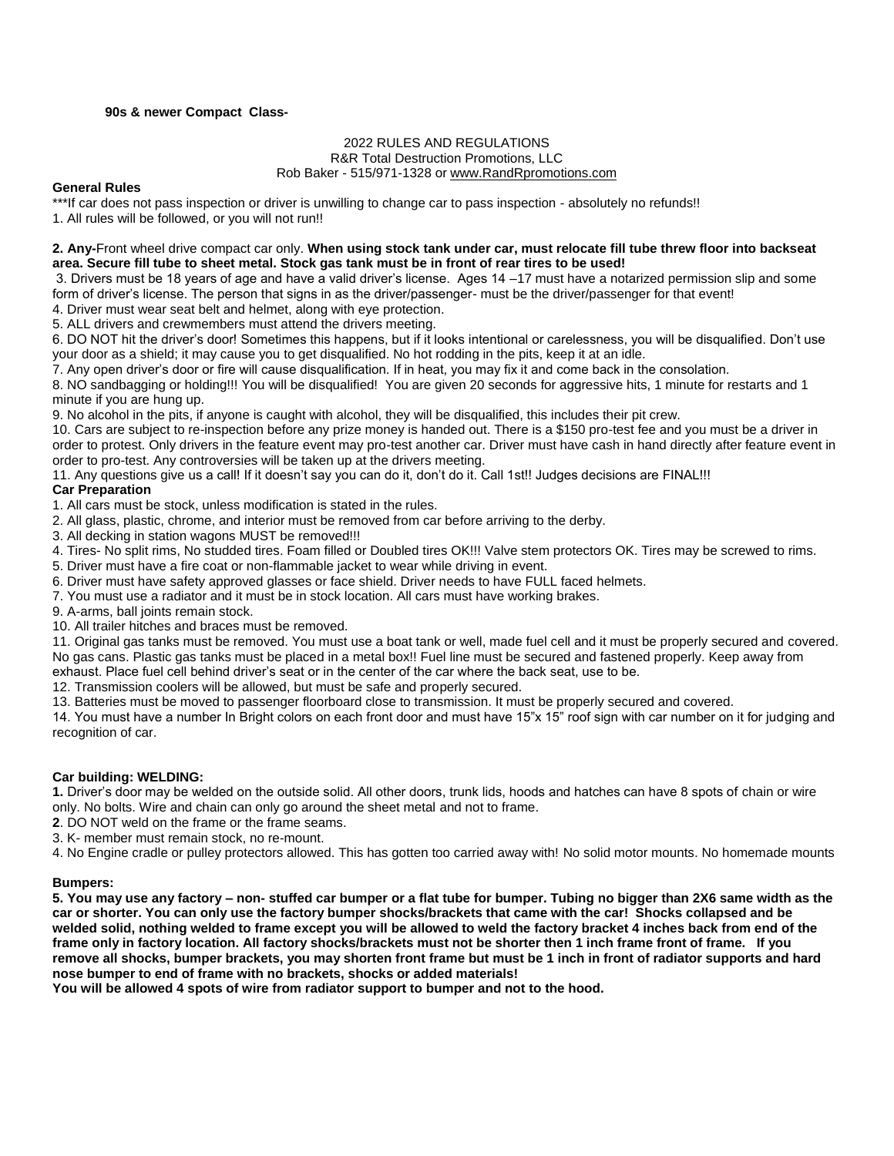### **90s & newer Compact Class-**

# 2022 RULES AND REGULATIONS

R&R Total Destruction Promotions, LLC

#### Rob Baker - 515/971-1328 o[r www.RandRpromotions.com](file:///C:/Users/Owner/2008%20Contracts/www.RandRpromotions.com)

#### **General Rules**

\*\*\*If car does not pass inspection or driver is unwilling to change car to pass inspection - absolutely no refunds!!

1. All rules will be followed, or you will not run!!

### **2. Any-**Front wheel drive compact car only. **When using stock tank under car, must relocate fill tube threw floor into backseat area. Secure fill tube to sheet metal. Stock gas tank must be in front of rear tires to be used!**

3. Drivers must be 18 years of age and have a valid driver's license. Ages 14 –17 must have a notarized permission slip and some form of driver's license. The person that signs in as the driver/passenger- must be the driver/passenger for that event! 4. Driver must wear seat belt and helmet, along with eye protection.

5. ALL drivers and crewmembers must attend the drivers meeting.

6. DO NOT hit the driver's door! Sometimes this happens, but if it looks intentional or carelessness, you will be disqualified. Don't use your door as a shield; it may cause you to get disqualified. No hot rodding in the pits, keep it at an idle.

7. Any open driver's door or fire will cause disqualification. If in heat, you may fix it and come back in the consolation.

8. NO sandbagging or holding!!! You will be disqualified! You are given 20 seconds for aggressive hits, 1 minute for restarts and 1 minute if you are hung up.

9. No alcohol in the pits, if anyone is caught with alcohol, they will be disqualified, this includes their pit crew.

10. Cars are subject to re-inspection before any prize money is handed out. There is a \$150 pro-test fee and you must be a driver in order to protest. Only drivers in the feature event may pro-test another car. Driver must have cash in hand directly after feature event in order to pro-test. Any controversies will be taken up at the drivers meeting.

11. Any questions give us a call! If it doesn't say you can do it, don't do it. Call 1st!! Judges decisions are FINAL!!!

## **Car Preparation**

1. All cars must be stock, unless modification is stated in the rules.

2. All glass, plastic, chrome, and interior must be removed from car before arriving to the derby.

3. All decking in station wagons MUST be removed!!!

4. Tires- No split rims, No studded tires. Foam filled or Doubled tires OK!!! Valve stem protectors OK. Tires may be screwed to rims.

5. Driver must have a fire coat or non-flammable jacket to wear while driving in event.

6. Driver must have safety approved glasses or face shield. Driver needs to have FULL faced helmets.

7. You must use a radiator and it must be in stock location. All cars must have working brakes.

9. A-arms, ball joints remain stock.

10. All trailer hitches and braces must be removed.

11. Original gas tanks must be removed. You must use a boat tank or well, made fuel cell and it must be properly secured and covered. No gas cans. Plastic gas tanks must be placed in a metal box!! Fuel line must be secured and fastened properly. Keep away from exhaust. Place fuel cell behind driver's seat or in the center of the car where the back seat, use to be.

12. Transmission coolers will be allowed, but must be safe and properly secured.

13. Batteries must be moved to passenger floorboard close to transmission. It must be properly secured and covered.

14. You must have a number In Bright colors on each front door and must have 15"x 15" roof sign with car number on it for judging and recognition of car.

### **Car building: WELDING:**

**1.** Driver's door may be welded on the outside solid. All other doors, trunk lids, hoods and hatches can have 8 spots of chain or wire only. No bolts. Wire and chain can only go around the sheet metal and not to frame.

**2**. DO NOT weld on the frame or the frame seams.

3. K- member must remain stock, no re-mount.

4. No Engine cradle or pulley protectors allowed. This has gotten too carried away with! No solid motor mounts. No homemade mounts

### **Bumpers:**

**5. You may use any factory – non- stuffed car bumper or a flat tube for bumper. Tubing no bigger than 2X6 same width as the car or shorter. You can only use the factory bumper shocks/brackets that came with the car! Shocks collapsed and be welded solid, nothing welded to frame except you will be allowed to weld the factory bracket 4 inches back from end of the frame only in factory location. All factory shocks/brackets must not be shorter then 1 inch frame front of frame. If you remove all shocks, bumper brackets, you may shorten front frame but must be 1 inch in front of radiator supports and hard nose bumper to end of frame with no brackets, shocks or added materials!**

**You will be allowed 4 spots of wire from radiator support to bumper and not to the hood.**